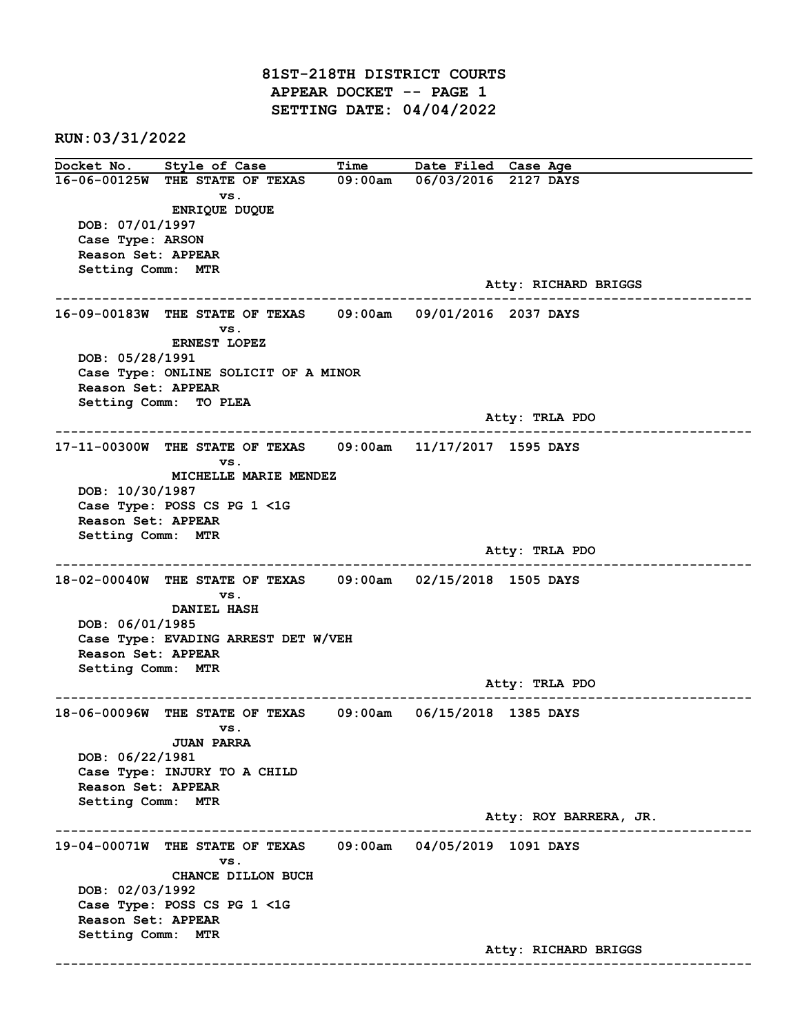81ST-218TH DISTRICT COURTS APPEAR DOCKET -- PAGE 1 SETTING DATE: 04/04/2022

RUN:03/31/2022

Docket No. Style of Case Time Date Filed Case Age 16-06-00125W THE STATE OF TEXAS 09:00am 06/03/2016 2127 DAYS vs. ENRIQUE DUQUE DOB: 07/01/1997 Case Type: ARSON Reason Set: APPEAR Setting Comm: MTR Atty: RICHARD BRIGGS ------------------------------------------------------------------------------------------------------------------------ 16-09-00183W THE STATE OF TEXAS 09:00am 09/01/2016 2037 DAYS vs. ERNEST LOPEZ DOB: 05/28/1991 Case Type: ONLINE SOLICIT OF A MINOR Reason Set: APPEAR Setting Comm: TO PLEA Atty: TRLA PDO ------------------------------------------------------------------------------------------------------------------------ 17-11-00300W THE STATE OF TEXAS 09:00am 11/17/2017 1595 DAYS vs. MICHELLE MARIE MENDEZ DOB: 10/30/1987 Case Type: POSS CS PG 1 <1G Reason Set: APPEAR Setting Comm: MTR Atty: TRLA PDO ------------------------------------------------------------------------------------------------------------------------ 18-02-00040W THE STATE OF TEXAS 09:00am 02/15/2018 1505 DAYS vs. DANIEL HASH DOB: 06/01/1985 Case Type: EVADING ARREST DET W/VEH Reason Set: APPEAR Setting Comm: MTR Atty: TRLA PDO ------------------------------------------------------------------------------------------------------------------------ 18-06-00096W THE STATE OF TEXAS 09:00am 06/15/2018 1385 DAYS vs. JUAN PARRA DOB: 06/22/1981 Case Type: INJURY TO A CHILD Reason Set: APPEAR Setting Comm: MTR Atty: ROY BARRERA, JR. ------------------------------------------------------------------------------------------------------------------------ 19-04-00071W THE STATE OF TEXAS 09:00am 04/05/2019 1091 DAYS vs. CHANCE DILLON BUCH DOB: 02/03/1992 Case Type: POSS CS PG 1 <1G Reason Set: APPEAR Setting Comm: MTR Atty: RICHARD BRIGGS ------------------------------------------------------------------------------------------------------------------------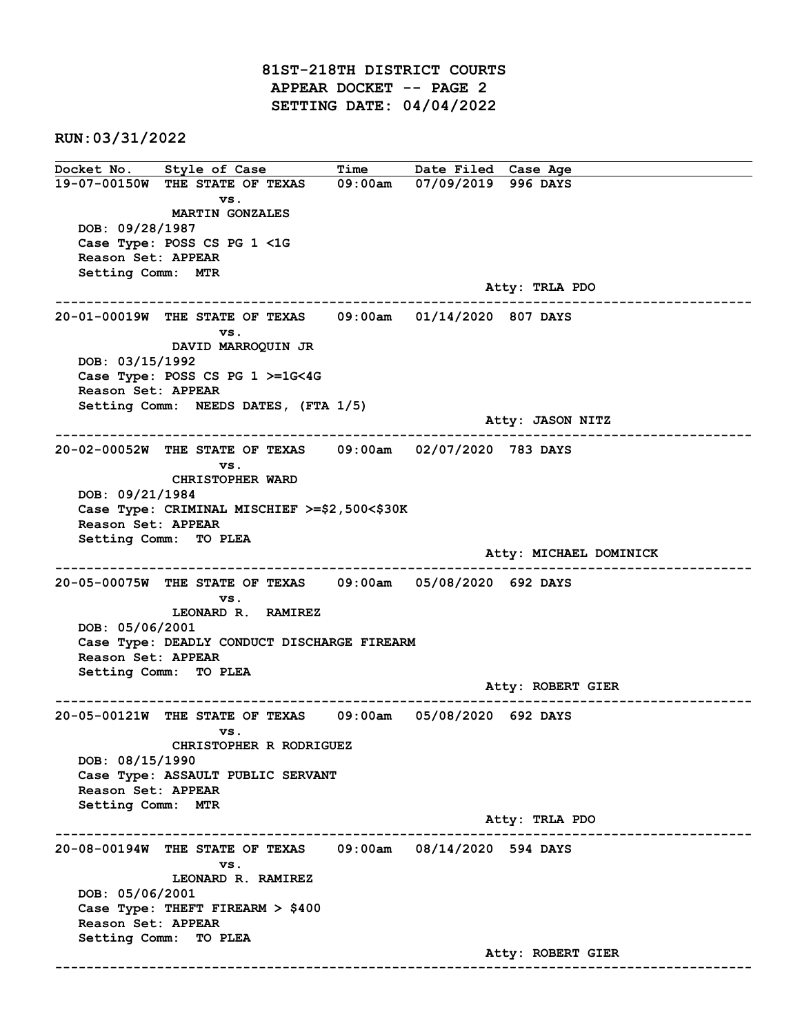81ST-218TH DISTRICT COURTS APPEAR DOCKET -- PAGE 2 SETTING DATE: 04/04/2022

RUN:03/31/2022

Docket No. Style of Case Time Date Filed Case Age 19-07-00150W THE STATE OF TEXAS 09:00am 07/09/2019 996 DAYS vs. MARTIN GONZALES DOB: 09/28/1987 Case Type: POSS CS PG 1 <1G Reason Set: APPEAR Setting Comm: MTR Atty: TRLA PDO ------------------------------------------------------------------------------------------------------------------------ 20-01-00019W THE STATE OF TEXAS 09:00am 01/14/2020 807 DAYS vs. DAVID MARROQUIN JR DOB: 03/15/1992 Case Type: POSS CS PG 1 >=1G<4G Reason Set: APPEAR Setting Comm: NEEDS DATES, (FTA 1/5) Atty: JASON NITZ ------------------------------------------------------------------------------------------------------------------------ 20-02-00052W THE STATE OF TEXAS 09:00am 02/07/2020 783 DAYS vs. CHRISTOPHER WARD DOB: 09/21/1984 Case Type: CRIMINAL MISCHIEF >=\$2,500<\$30K Reason Set: APPEAR Setting Comm: TO PLEA Atty: MICHAEL DOMINICK ------------------------------------------------------------------------------------------------------------------------ 20-05-00075W THE STATE OF TEXAS 09:00am 05/08/2020 692 DAYS vs. LEONARD R. RAMIREZ DOB: 05/06/2001 Case Type: DEADLY CONDUCT DISCHARGE FIREARM Reason Set: APPEAR Setting Comm: TO PLEA Atty: ROBERT GIER ------------------------------------------------------------------------------------------------------------------------ 20-05-00121W THE STATE OF TEXAS 09:00am 05/08/2020 692 DAYS vs. CHRISTOPHER R RODRIGUEZ DOB: 08/15/1990 Case Type: ASSAULT PUBLIC SERVANT Reason Set: APPEAR Setting Comm: MTR Atty: TRLA PDO ------------------------------------------------------------------------------------------------------------------------ 20-08-00194W THE STATE OF TEXAS 09:00am 08/14/2020 594 DAYS vs. LEONARD R. RAMIREZ DOB: 05/06/2001 Case Type: THEFT FIREARM > \$400 Reason Set: APPEAR Setting Comm: TO PLEA Atty: ROBERT GIER ------------------------------------------------------------------------------------------------------------------------